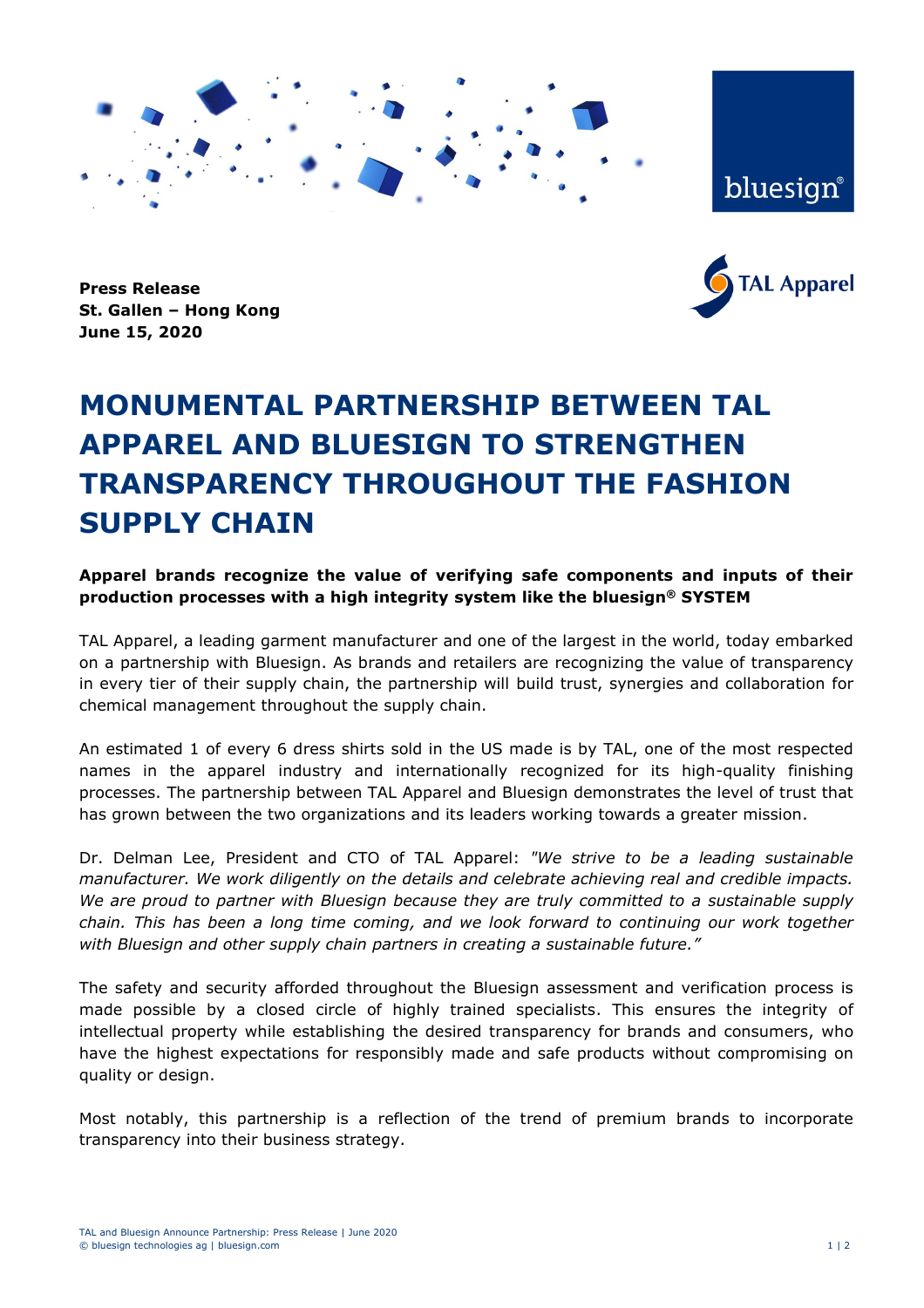

bluesign®



**Press Release St. Gallen – Hong Kong June 15, 2020**

## **MONUMENTAL PARTNERSHIP BETWEEN TAL APPAREL AND BLUESIGN TO STRENGTHEN TRANSPARENCY THROUGHOUT THE FASHION SUPPLY CHAIN**

**Apparel brands recognize the value of verifying safe components and inputs of their production processes with a high integrity system like the bluesign® SYSTEM**

TAL Apparel, a leading garment manufacturer and one of the largest in the world, today embarked on a partnership with Bluesign. As brands and retailers are recognizing the value of transparency in every tier of their supply chain, the partnership will build trust, synergies and collaboration for chemical management throughout the supply chain.

An estimated 1 of every 6 dress shirts sold in the US made is by TAL, one of the most respected names in the apparel industry and internationally recognized for its high-quality finishing processes. The partnership between TAL Apparel and Bluesign demonstrates the level of trust that has grown between the two organizations and its leaders working towards a greater mission.

Dr. Delman Lee, President and CTO of TAL Apparel: *"We strive to be a leading sustainable manufacturer. We work diligently on the details and celebrate achieving real and credible impacts. We are proud to partner with Bluesign because they are truly committed to a sustainable supply chain. This has been a long time coming, and we look forward to continuing our work together with Bluesign and other supply chain partners in creating a sustainable future."*

The safety and security afforded throughout the Bluesign assessment and verification process is made possible by a closed circle of highly trained specialists. This ensures the integrity of intellectual property while establishing the desired transparency for brands and consumers, who have the highest expectations for responsibly made and safe products without compromising on quality or design.

Most notably, this partnership is a reflection of the trend of premium brands to incorporate transparency into their business strategy.